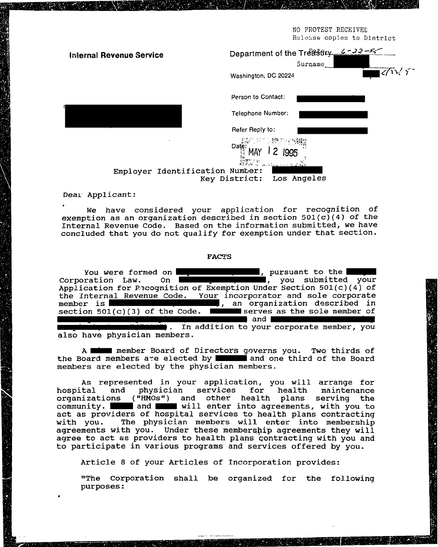NO PROTEST RECEIVED Release copies to District

| <b>Internal Revenue Service</b> | Department of the Treasury 6-22-55<br>Surname                    |
|---------------------------------|------------------------------------------------------------------|
|                                 | 16/12/5<br>Washington, DC 20224                                  |
|                                 | Person to Contact:                                               |
|                                 | <b>Telephone Number:</b>                                         |
|                                 | Refer Reply to:                                                  |
|                                 | 1. <sup>228</sup> の行列税<br>Date: $\frac{MAP \cup \neg L}{\neg L}$ |
| Employer Identification Number: | Key District:<br>Los Angeles                                     |

Dear Applicant:

We have considered your application for recognition of exemption as an organization described in section  $501(c)(4)$  of the Internal Revenue Code. Based on the information submitted, we have concluded that you do not qualify for exemption under that section.

## **FACTS**

| <b>Expression of the part of the set of the set of the set of the set of the set of the set of the set of the set of the set of the set of the set of the set of the set of the set of the set of the set of the set of the set </b><br>You were formed on I |
|--------------------------------------------------------------------------------------------------------------------------------------------------------------------------------------------------------------------------------------------------------------|
| and the submitted your<br>Corporation Law. On I                                                                                                                                                                                                              |
| Application for Pecognition of Exemption Under Section $501(c)(4)$ of                                                                                                                                                                                        |
| the Internal Revenue Code. Your incorporator and sole corporate                                                                                                                                                                                              |
| member is <b>EXECUTE:</b> THE TERM organization described in                                                                                                                                                                                                 |
| section $501(c)(3)$ of the Code. $\blacksquare$ serves as the sole member of                                                                                                                                                                                 |
| ∎ and I                                                                                                                                                                                                                                                      |
| . In addition to your corporate member, you                                                                                                                                                                                                                  |
| also have physician members.                                                                                                                                                                                                                                 |

A minum member Board of Directors governs you. Two thirds of the Board members are elected by a land one third of the Board members are elected by the physician members.

As represented in your application, you will arrange for hospital and physician services for health maintenance organizations ("HMOs") and other health plans serving the community. and and will enter into agreements, with you to act as providers of hospital services to health plans contracting The physician members will enter into membership with you. agreements with you. Under these membership agreements they will agree to act as providers to health plans contracting with you and to participate in various programs and services offered by you.

Article 8 of your Articles of Incorporation provides:

"The Corporation shall be organized for the following purposes: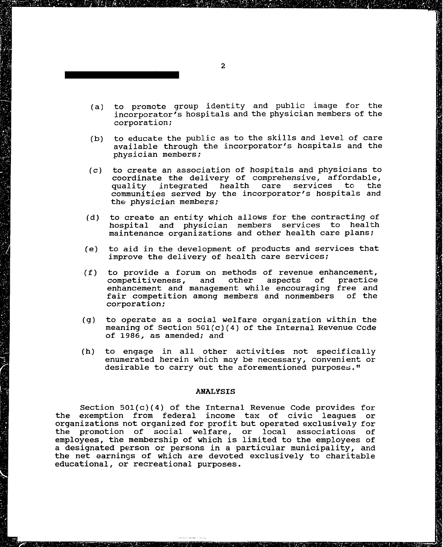- (a) to promote group identity and public image for the incorporator's hospitals and the physician members of the corporation;
- **(b)** to educate the public as to the skills and level of care available through the incorporator's hospitals and the physician members ;
- (c) to create an association of hospitals and physicians to coordinate the delivery of comprehensive, affordable,<br>quality integrated health care services to the quality integrated health communities served by the incorporator's hospitals and the physician members;
- (d) to create an entity which allows for the contracting of hospital and physician members services to health maintenance organizations and other health care plans;
- (e) to aid in the development of products and services that improve the delivery of health care services;
- (f) to provide a forum on methods of revenue enhancement,<br>competitiveness, and other aspects of practice competitiveness, and enhancement and management while encouraging free and fair competition among members and nonmembers of the corporation;
- (g) to operate as a social welfare organization within the meaning of Section  $501(c)(4)$  of the Internal Revenue Ccde of 1986, as amended; and
- (h) to engage in all other activities not specifically enumerated herein which may be necessary, convenient or desirable to carry out the aforementioned purposes."

## **ANALYSIS**

Section 501(c)(4) of the Internal Revenue Code provides for the exemption from federal income tax of civic leagues or organizations not organized for profit but operated exclusively for the promotion of social welfare, or local associations of employees, the membership of which is limited to the employees of a designated person or persons in a particular municipality, arid the net earnings of which are devoted exclusively to charitable educational, or recreational purposes.

\*\*\*\*\*\*\*\***\*\*\*\*\*\*** \*\*\*\*\*\*\*\*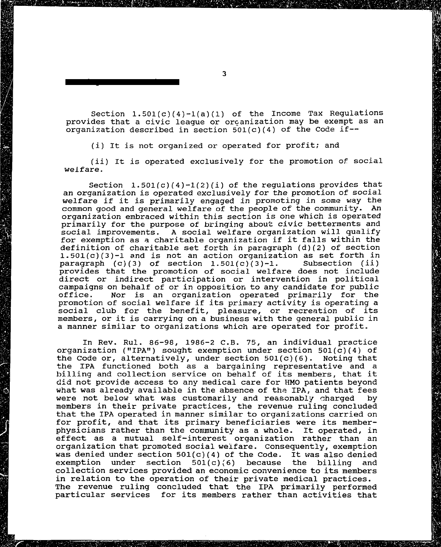Section  $1.501(c)(4)-1(a)(1)$  of the Income Tax Regulations provides that a civic league or orcanization may be exempt as an organization described in section  $501(c)(4)$  of the Code if--

(i) It is not organized or operated for profit; and

(ii) It is operated exclusively for the promotion of social welfare.

Section  $1.501(c)(4)-1(2)(i)$  of the regulations provides that an organization is operated exclusively for the promotion of social welfare if it is primarily engaged in promoting in some way the common good and general welfare of the people of the community. An organization embraced within this section is **one** which is operated primarily for the purpose of bringing about civic betterments and social improvements. A social welfare organization will qualify A social welfare organization will qualify for exemption as **a** charitable organization if it falls within the definition of charitable set forth in paragraph (d)(2) of section 1.501(c)(3)-1 and is not an action organization as set forth in paragraph (c)(3) of section 1.501(c)(3)-1. Subsection (ii) paragraph  $(c)(3)$  of section  $1.501(c)(3)-1$ . provides that the promotion of social welfare does not include direct or indirect participation or intervention in political campaigns on behalf of or in opposition to any candidate for public<br>office. Mor is an organization operated primarily for the Nor is an organization operated primarily for the promotion of social welfare if its primary activity is operating a social club for the benefit, pleasure, or recreation of its members, or it is carrying on a business with the general public in a manner similar to organizations which are operated for profit.

In Rev. Rul. 86-98, 1986-2 C.B. 75, an individual practice organization ("IPA") sought exemption under section  $501(c)(4)$  of the Code or, alternatively, under section  $501(c)(6)$ . Noting that the Code or, alternatively, under section  $501(c)(6)$ . the IPA functioned both as a bargaining representative and a billing and collection service on behalf of its members, that it **did** not provide access to any medical care for HMO patients beyond what was already available in the absence of the IPA, and that fees were not below what was customarily and reasonably charged by members in their private practices, the revenue ruling concluded that the IPA operated in manner similar to organizations carried on for profit, and that its primary beneficiaries were its memberphysicians rather than the community as a whole. It operated, in effect as a mutual self-interest organization rather than an organization that promoted social weifare. Consequently, exemption was denied under section  $501(c)(4)$  of the Code. It was also denied exemption under section 501(c)(6) because the billing and collection services provided an economic convenience to its members in relation to the operation of their private medical practices. The revenue ruling concluded that the IPA primarily performed particular services for its members rather than activities that

 $\overline{3}$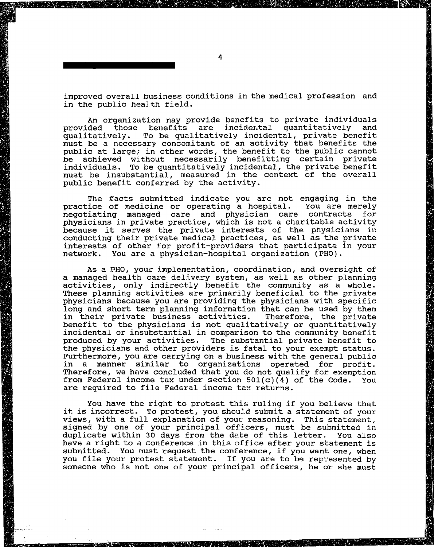improved overall business conditions in the medical profession and in the public health field.

An organization may provide benefits to private individuals<br>ded those benefits are incidental quantitatively and provided those benefits are incidental quantitatively qualitatively. To be qualitatively incidental, private benefit must be a necessary concomitant of an activity that benefits the public at large; in other words, the benefit to the public cannot be achieved without necessarily benefitting certain private individuals. To be quantitatively incidental, the private benefit must be insubstantial, measured in the context of the overall public benefit conferred by the activity.

The facts submitted indicate you are not engaging in the<br>ice of medicine or operating a hospital. You are merely practice of medicine or operating a hospital. You are merely<br>negotiating managed care and physician care contracts for negotiating managed care and physician care contracts physicians in private practice, which is not a charitable activity because it serves the private interests of the pnysicians in conducting their private medical practices, as well as the private interests of other for profit-providers that participate in your network. You are a physician-hospital organization (PHO).

As a PHO, your implementation, coordination, and oversight of a managed health care delivery system, as well as other planning activities, only indirectly benefit the community as a whole. These planning activities are primarily beneficial to the private physicians because you are providing the physicians with specific long and short term planning information that can be used by them<br>in their private business activities. Therefore, the private in their private business activities. benefit to the physicians is not qualitatively or quantitatively incidental or insubstantial in comparison to the community benefit produced by your activities. The substantial private benefit to the physicians and other providers is fatal to your exempt status. Furthermore, you are carrying on a business with the general public in a manner similar to organizations operated for profit. Therefore, we have concluded that you do not qualify for exemption from Federal income tax under section  $501(c)(4)$  of the Code. You are required to file Federal income tex returns.

You have the right to protest this ruling if you believe that it is incorrect. To protest, you shou2.d submit a statement of your views, with a full explanation of your reasoning. This statement, signed by one of your principal officers, must be submitted in duplicate within 30 days fron the dete of this letter. You also have a right to a conference in this affice after your statement is submitted. You nust request the conference, if you want one, when you file your protest statement. If you are to be repesented by someone who is not one of your principal officers, he or she must

\*\*\*\*\*\*\*\***\*\*\*\*\*\*\***\*\*\*\*\*\*\*\*